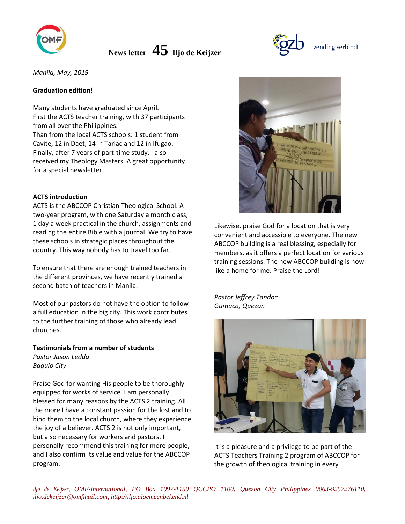

*Manila, May, 2019*

## **Graduation edition!**

Many students have graduated since April. First the ACTS teacher training, with 37 participants from all over the Philippines. Than from the local ACTS schools: 1 student from Cavite, 12 in Daet, 14 in Tarlac and 12 in Ifugao. Finally, after 7 years of part-time study, I also received my Theology Masters. A great opportunity for a special newsletter.

#### **ACTS introduction**

ACTS is the ABCCOP Christian Theological School. A two-year program, with one Saturday a month class, 1 day a week practical in the church, assignments and reading the entire Bible with a journal. We try to have these schools in strategic places throughout the country. This way nobody has to travel too far.

To ensure that there are enough trained teachers in the different provinces, we have recently trained a second batch of teachers in Manila.

Most of our pastors do not have the option to follow a full education in the big city. This work contributes to the further training of those who already lead churches.

**Testimonials from a number of students** *Pastor Jason Ledda Baguio City*

Praise God for wanting His people to be thoroughly equipped for works of service. I am personally blessed for many reasons by the ACTS 2 training. All the more I have a constant passion for the lost and to bind them to the local church, where they experience the joy of a believer. ACTS 2 is not only important, but also necessary for workers and pastors. I personally recommend this training for more people, and I also confirm its value and value for the ABCCOP program.



Likewise, praise God for a location that is very convenient and accessible to everyone. The new ABCCOP building is a real blessing, especially for members, as it offers a perfect location for various training sessions. The new ABCCOP building is now like a home for me. Praise the Lord!

*Pastor Jeffrey Tandoc Gumaca, Quezon*



It is a pleasure and a privilege to be part of the ACTS Teachers Training 2 program of ABCCOP for the growth of theological training in every

*Iljo de Keijzer, OMF-international, PO Box 1997-1159 QCCPO 1100, Quezon City Philippines 0063-9257276110, iljo.dekeijzer@omfmail.com, http://iljo.algemeenbekend.nl*

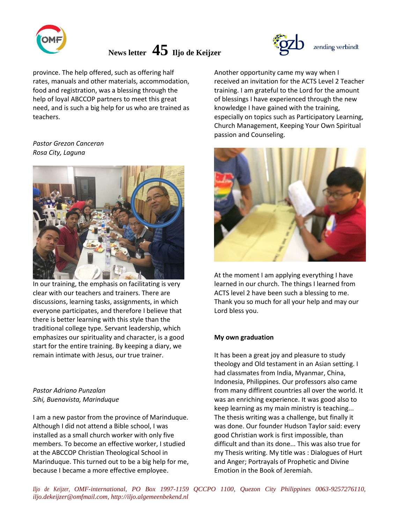

province. The help offered, such as offering half rates, manuals and other materials, accommodation, food and registration, was a blessing through the help of loyal ABCCOP partners to meet this great need, and is such a big help for us who are trained as teachers.

## *Pastor Grezon Canceran Rosa City, Laguna*



In our training, the emphasis on facilitating is very clear with our teachers and trainers. There are discussions, learning tasks, assignments, in which everyone participates, and therefore I believe that there is better learning with this style than the traditional college type. Servant leadership, which emphasizes our spirituality and character, is a good start for the entire training. By keeping a diary, we remain intimate with Jesus, our true trainer.

## *Pastor Adriano Punzalan Sihi, Buenavista, Marinduque*

I am a new pastor from the province of Marinduque. Although I did not attend a Bible school, I was installed as a small church worker with only five members. To become an effective worker, I studied at the ABCCOP Christian Theological School in Marinduque. This turned out to be a big help for me, because I became a more effective employee.



Another opportunity came my way when I received an invitation for the ACTS Level 2 Teacher training. I am grateful to the Lord for the amount of blessings I have experienced through the new knowledge I have gained with the training, especially on topics such as Participatory Learning, Church Management, Keeping Your Own Spiritual passion and Counseling.



At the moment I am applying everything I have learned in our church. The things I learned from ACTS level 2 have been such a blessing to me. Thank you so much for all your help and may our Lord bless you.

## **My own graduation**

It has been a great joy and pleasure to study theology and Old testament in an Asian setting. I had classmates from India, Myanmar, China, Indonesia, Philippines. Our professors also came from many diffirent countries all over the world. It was an enriching experience. It was good also to keep learning as my main ministry is teaching... The thesis writing was a challenge, but finally it was done. Our founder Hudson Taylor said: every good Christian work is first impossible, than difficult and than its done... This was also true for my Thesis writing. My title was : Dialogues of Hurt and Anger; Portrayals of Prophetic and Divine Emotion in the Book of Jeremiah.

*Iljo de Keijzer, OMF-international, PO Box 1997-1159 QCCPO 1100, Quezon City Philippines 0063-9257276110, iljo.dekeijzer@omfmail.com, http://iljo.algemeenbekend.nl*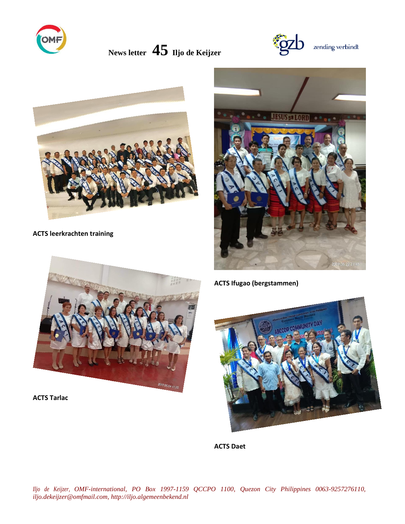





# **ACTS leerkrachten training**





**ACTS Tarlac**

# **ACTS Ifugao (bergstammen)**



**ACTS Daet**

*Iljo de Keijzer, OMF-international, PO Box 1997-1159 QCCPO 1100, Quezon City Philippines 0063-9257276110, iljo.dekeijzer@omfmail.com, http://iljo.algemeenbekend.nl*